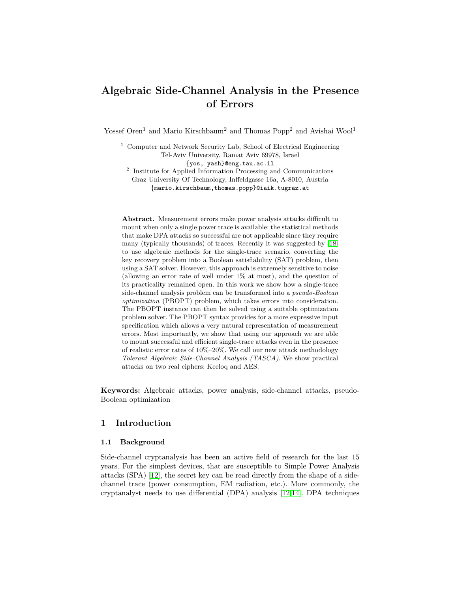# **Algebraic Side-Channel Analysis in the Presence of Errors**

Yossef Oren<sup>1</sup> and Mario Kirschbaum<sup>2</sup> and Thomas Popp<sup>2</sup> and Avishai Wool<sup>1</sup>

 $1$  Computer and Network Security Lab, School of Electrical Engineering Tel-Aviv University, Ramat Aviv 69978, Israel {yos, yash}@eng.tau.ac.il

<sup>2</sup> Institute for Applied Information Processing and Communications Graz University Of Technology, Inffeldgasse 16a, A-8010, Austria {mario.kirschbaum,thomas.popp}@iaik.tugraz.at

**Abstract.** Measurement errors make power analysis attacks difficult to mount when only a single power trace is available: the statistical methods that make DPA attacks so successful are not applicable since they require many (typically thousands) of traces. Recently it was suggested by [\[18\]](#page-14-0) to use algebraic methods for the single-trace scenario, converting the key recovery problem into a Boolean satisfiability (SAT) problem, then using a SAT solver. However, this approach is extremely sensitive to noise (allowing an error rate of well under 1% at most), and the question of its practicality remained open. In this work we show how a single-trace side-channel analysis problem can be transformed into a *pseudo-Boolean optimization* (PBOPT) problem, which takes errors into consideration. The PBOPT instance can then be solved using a suitable optimization problem solver. The PBOPT syntax provides for a more expressive input specification which allows a very natural representation of measurement errors. Most importantly, we show that using our approach we are able to mount successful and efficient single-trace attacks even in the presence of realistic error rates of 10%–20%. We call our new attack methodology *Tolerant Algebraic Side-Channel Analysis (TASCA)*. We show practical attacks on two real ciphers: Keeloq and AES.

**Keywords:** Algebraic attacks, power analysis, side-channel attacks, pseudo-Boolean optimization

# **1 Introduction**

#### **1.1 Background**

Side-channel cryptanalysis has been an active field of research for the last 15 years. For the simplest devices, that are susceptible to Simple Power Analysis attacks (SPA) [\[12\]](#page-14-1), the secret key can be read directly from the shape of a sidechannel trace (power consumption, EM radiation, etc.). More commonly, the cryptanalyst needs to use differential (DPA) analysis [\[12](#page-14-1)[,14\]](#page-14-2). DPA techniques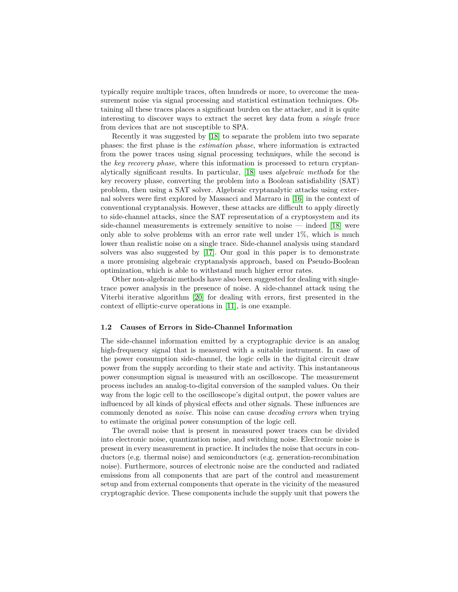typically require multiple traces, often hundreds or more, to overcome the measurement noise via signal processing and statistical estimation techniques. Obtaining all these traces places a significant burden on the attacker, and it is quite interesting to discover ways to extract the secret key data from a *single trace* from devices that are not susceptible to SPA.

Recently it was suggested by [\[18\]](#page-14-0) to separate the problem into two separate phases: the first phase is the *estimation phase*, where information is extracted from the power traces using signal processing techniques, while the second is the *key recovery phase*, where this information is processed to return cryptanalytically significant results. In particular, [\[18\]](#page-14-0) uses *algebraic methods* for the key recovery phase, converting the problem into a Boolean satisfiability (SAT) problem, then using a SAT solver. Algebraic cryptanalytic attacks using external solvers were first explored by Massacci and Marraro in [\[16\]](#page-14-3) in the context of conventional cryptanalysis. However, these attacks are difficult to apply directly to side-channel attacks, since the SAT representation of a cryptosystem and its side-channel measurements is extremely sensitive to noise — indeed [\[18\]](#page-14-0) were only able to solve problems with an error rate well under  $1\%$ , which is much lower than realistic noise on a single trace. Side-channel analysis using standard solvers was also suggested by [\[17\]](#page-14-4). Our goal in this paper is to demonstrate a more promising algebraic cryptanalysis approach, based on Pseudo-Boolean optimization, which is able to withstand much higher error rates.

Other non-algebraic methods have also been suggested for dealing with singletrace power analysis in the presence of noise. A side-channel attack using the Viterbi iterative algorithm [\[20\]](#page-14-5) for dealing with errors, first presented in the context of elliptic-curve operations in [\[11\]](#page-14-6), is one example.

#### **1.2 Causes of Errors in Side-Channel Information**

The side-channel information emitted by a cryptographic device is an analog high-frequency signal that is measured with a suitable instrument. In case of the power consumption side-channel, the logic cells in the digital circuit draw power from the supply according to their state and activity. This instantaneous power consumption signal is measured with an oscilloscope. The measurement process includes an analog-to-digital conversion of the sampled values. On their way from the logic cell to the oscilloscope's digital output, the power values are influenced by all kinds of physical effects and other signals. These influences are commonly denoted as *noise.* This noise can cause *decoding errors* when trying to estimate the original power consumption of the logic cell.

The overall noise that is present in measured power traces can be divided into electronic noise, quantization noise, and switching noise. Electronic noise is present in every measurement in practice. It includes the noise that occurs in conductors (e.g. thermal noise) and semiconductors (e.g. generation-recombination noise). Furthermore, sources of electronic noise are the conducted and radiated emissions from all components that are part of the control and measurement setup and from external components that operate in the vicinity of the measured cryptographic device. These components include the supply unit that powers the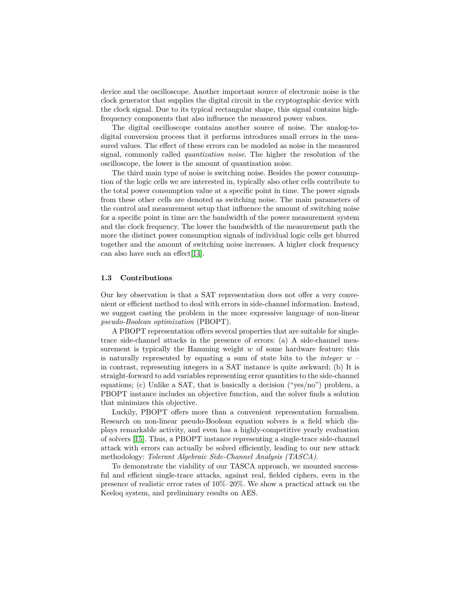device and the oscilloscope. Another important source of electronic noise is the clock generator that supplies the digital circuit in the cryptographic device with the clock signal. Due to its typical rectangular shape, this signal contains highfrequency components that also influence the measured power values.

The digital oscilloscope contains another source of noise. The analog-todigital conversion process that it performs introduces small errors in the measured values. The effect of these errors can be modeled as noise in the measured signal, commonly called *quantization noise*. The higher the resolution of the oscilloscope, the lower is the amount of quantization noise.

The third main type of noise is switching noise. Besides the power consumption of the logic cells we are interested in, typically also other cells contribute to the total power consumption value at a specific point in time. The power signals from these other cells are denoted as switching noise. The main parameters of the control and measurement setup that influence the amount of switching noise for a specific point in time are the bandwidth of the power measurement system and the clock frequency. The lower the bandwidth of the measurement path the more the distinct power consumption signals of individual logic cells get blurred together and the amount of switching noise increases. A higher clock frequency can also have such an effect[\[14\]](#page-14-2).

#### **1.3 Contributions**

Our key observation is that a SAT representation does not offer a very convenient or efficient method to deal with errors in side-channel information. Instead, we suggest casting the problem in the more expressive language of non-linear *pseudo-Boolean optimization* (PBOPT).

A PBOPT representation offers several properties that are suitable for singletrace side-channel attacks in the presence of errors: (a) A side-channel measurement is typically the Hamming weight *w* of some hardware feature: this is naturally represented by equating a sum of state bits to the *integer w* – in contrast, representing integers in a SAT instance is quite awkward; (b) It is straight-forward to add variables representing error quantities to the side-channel equations; (c) Unlike a SAT, that is basically a decision ("yes/no") problem, a PBOPT instance includes an objective function, and the solver finds a solution that minimizes this objective.

Luckily, PBOPT offers more than a convenient representation formalism. Research on non-linear pseudo-Boolean equation solvers is a field which displays remarkable activity, and even has a highly-competitive yearly evaluation of solvers [\[15\]](#page-14-7). Thus, a PBOPT instance representing a single-trace side-channel attack with errors can actually be solved efficiently, leading to our new attack methodology: *Tolerant Algebraic Side-Channel Analysis (TASCA)*.

To demonstrate the viability of our TASCA approach, we mounted successful and efficient single-trace attacks, against real, fielded ciphers, even in the presence of realistic error rates of 10%–20%. We show a practical attack on the Keeloq system, and preliminary results on AES.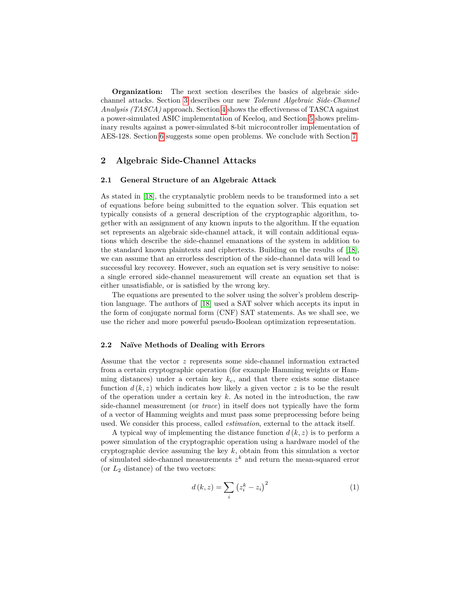**Organization:** The next section describes the basics of algebraic sidechannel attacks. Section [3](#page-5-0) describes our new *Tolerant Algebraic Side-Channel Analysis (TASCA)* approach. Section [4](#page-7-0) shows the effectiveness of TASCA against a power-simulated ASIC implementation of Keeloq, and Section [5](#page-11-0) shows preliminary results against a power-simulated 8-bit microcontroller implementation of AES-128. Section [6](#page-12-0) suggests some open problems. We conclude with Section [7.](#page-13-0)

## **2 Algebraic Side-Channel Attacks**

#### **2.1 General Structure of an Algebraic Attack**

As stated in [\[18\]](#page-14-0), the cryptanalytic problem needs to be transformed into a set of equations before being submitted to the equation solver. This equation set typically consists of a general description of the cryptographic algorithm, together with an assignment of any known inputs to the algorithm. If the equation set represents an algebraic side-channel attack, it will contain additional equations which describe the side-channel emanations of the system in addition to the standard known plaintexts and ciphertexts. Building on the results of [\[18\]](#page-14-0), we can assume that an errorless description of the side-channel data will lead to successful key recovery. However, such an equation set is very sensitive to noise: a single errored side-channel measurement will create an equation set that is either unsatisfiable, or is satisfied by the wrong key.

The equations are presented to the solver using the solver's problem description language. The authors of [\[18\]](#page-14-0) used a SAT solver which accepts its input in the form of conjugate normal form (CNF) SAT statements. As we shall see, we use the richer and more powerful pseudo-Boolean optimization representation.

#### **2.2 Naïve Methods of Dealing with Errors**

Assume that the vector *z* represents some side-channel information extracted from a certain cryptographic operation (for example Hamming weights or Hamming distances) under a certain key  $k_c$ , and that there exists some distance function  $d(k, z)$  which indicates how likely a given vector z is to be the result of the operation under a certain key *k*. As noted in the introduction, the raw side-channel measurement (or *trace*) in itself does not typically have the form of a vector of Hamming weights and must pass some preprocessing before being used. We consider this process, called *estimation*, external to the attack itself.

A typical way of implementing the distance function  $d(k, z)$  is to perform a power simulation of the cryptographic operation using a hardware model of the cryptographic device assuming the key *k*, obtain from this simulation a vector of simulated side-channel measurements *z<sup>k</sup>* and return the mean-squared error (or *L*<sup>2</sup> distance) of the two vectors:

$$
d(k, z) = \sum_{i} (z_i^k - z_i)^2
$$
 (1)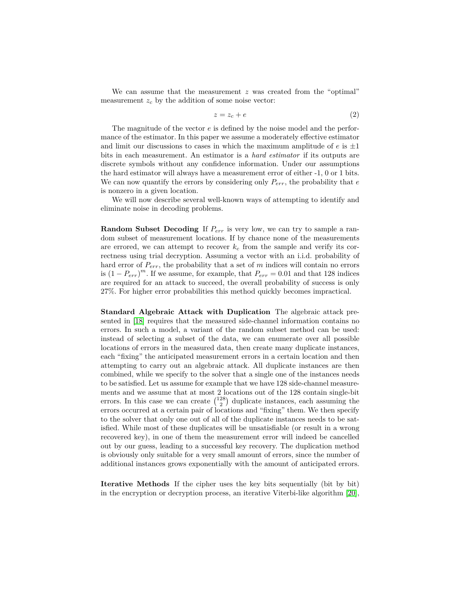We can assume that the measurement *z* was created from the "optimal" measurement  $z_c$  by the addition of some noise vector:

$$
z = z_c + e \tag{2}
$$

The magnitude of the vector *e* is defined by the noise model and the performance of the estimator. In this paper we assume a moderately effective estimator and limit our discussions to cases in which the maximum amplitude of  $e$  is  $\pm 1$ bits in each measurement. An estimator is a *hard estimator* if its outputs are discrete symbols without any confidence information. Under our assumptions the hard estimator will always have a measurement error of either -1, 0 or 1 bits. We can now quantify the errors by considering only *Perr*, the probability that *e* is nonzero in a given location.

We will now describe several well-known ways of attempting to identify and eliminate noise in decoding problems.

**Random Subset Decoding** If  $P_{err}$  is very low, we can try to sample a random subset of measurement locations. If by chance none of the measurements are errored, we can attempt to recover  $k_c$  from the sample and verify its correctness using trial decryption. Assuming a vector with an i.i.d. probability of hard error of *Perr*, the probability that a set of *m* indices will contain no errors is  $(1 - P<sub>err</sub>)<sup>m</sup>$ . If we assume, for example, that  $P<sub>err</sub> = 0.01$  and that 128 indices are required for an attack to succeed, the overall probability of success is only 27%. For higher error probabilities this method quickly becomes impractical.

**Standard Algebraic Attack with Duplication** The algebraic attack presented in [\[18\]](#page-14-0) requires that the measured side-channel information contains no errors. In such a model, a variant of the random subset method can be used: instead of selecting a subset of the data, we can enumerate over all possible locations of errors in the measured data, then create many duplicate instances, each "fixing" the anticipated measurement errors in a certain location and then attempting to carry out an algebraic attack. All duplicate instances are then combined, while we specify to the solver that a single one of the instances needs to be satisfied. Let us assume for example that we have 128 side-channel measurements and we assume that at most 2 locations out of the 128 contain single-bit errors. In this case we can create  $\binom{128}{2}$  duplicate instances, each assuming the errors occurred at a certain pair of locations and "fixing" them. We then specify to the solver that only one out of all of the duplicate instances needs to be satisfied. While most of these duplicates will be unsatisfiable (or result in a wrong recovered key), in one of them the measurement error will indeed be cancelled out by our guess, leading to a successful key recovery. The duplication method is obviously only suitable for a very small amount of errors, since the number of additional instances grows exponentially with the amount of anticipated errors.

<span id="page-4-0"></span>**Iterative Methods** If the cipher uses the key bits sequentially (bit by bit) in the encryption or decryption process, an iterative Viterbi-like algorithm [\[20\]](#page-14-5),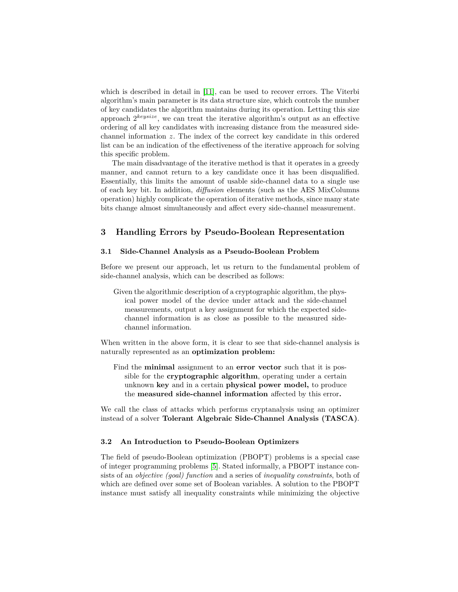which is described in detail in [\[11\]](#page-14-6), can be used to recover errors. The Viterbi algorithm's main parameter is its data structure size, which controls the number of key candidates the algorithm maintains during its operation. Letting this size approach 2*keysize*, we can treat the iterative algorithm's output as an effective ordering of all key candidates with increasing distance from the measured sidechannel information *z*. The index of the correct key candidate in this ordered list can be an indication of the effectiveness of the iterative approach for solving this specific problem.

The main disadvantage of the iterative method is that it operates in a greedy manner, and cannot return to a key candidate once it has been disqualified. Essentially, this limits the amount of usable side-channel data to a single use of each key bit. In addition, *diffusion* elements (such as the AES MixColumns operation) highly complicate the operation of iterative methods, since many state bits change almost simultaneously and affect every side-channel measurement.

# <span id="page-5-0"></span>**3 Handling Errors by Pseudo-Boolean Representation**

#### **3.1 Side-Channel Analysis as a Pseudo-Boolean Problem**

Before we present our approach, let us return to the fundamental problem of side-channel analysis, which can be described as follows:

Given the algorithmic description of a cryptographic algorithm, the physical power model of the device under attack and the side-channel measurements, output a key assignment for which the expected sidechannel information is as close as possible to the measured sidechannel information.

When written in the above form, it is clear to see that side-channel analysis is naturally represented as an **optimization problem:**

Find the **minimal** assignment to an **error vector** such that it is possible for the **cryptographic algorithm**, operating under a certain unknown **key** and in a certain **physical power model,** to produce the **measured side-channel information** affected by this error**.**

We call the class of attacks which performs cryptanalysis using an optimizer instead of a solver **Tolerant Algebraic Side-Channel Analysis (TASCA)**.

#### **3.2 An Introduction to Pseudo-Boolean Optimizers**

The field of pseudo-Boolean optimization (PBOPT) problems is a special case of integer programming problems [\[5\]](#page-14-8). Stated informally, a PBOPT instance consists of an *objective (goal) function* and a series of *inequality constraints*, both of which are defined over some set of Boolean variables. A solution to the PBOPT instance must satisfy all inequality constraints while minimizing the objective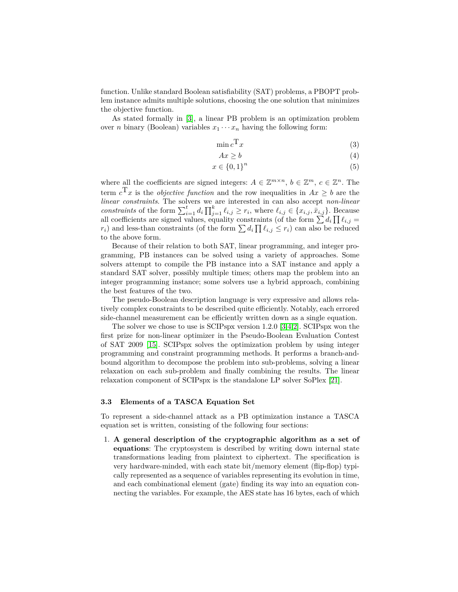function. Unlike standard Boolean satisfiability (SAT) problems, a PBOPT problem instance admits multiple solutions, choosing the one solution that minimizes the objective function.

As stated formally in [\[3\]](#page-14-9), a linear PB problem is an optimization problem over *n* binary (Boolean) variables  $x_1 \cdots x_n$  having the following form:

$$
\min c \mathbf{T} x \tag{3}
$$

$$
Ax \ge b \tag{4}
$$

$$
x \in \{0,1\}^n \tag{5}
$$

where all the coefficients are signed integers:  $A \in \mathbb{Z}^{m \times n}$ ,  $b \in \mathbb{Z}^m$ ,  $c \in \mathbb{Z}^n$ . The term  $c^T x$  is the *objective function* and the row inequalities in  $Ax \geq b$  are the *linear constraints*. The solvers we are interested in can also accept *non-linear constraints* of the form  $\sum_{i=1}^{t} d_i \prod_{j=1}^{k} \ell_{i,j} \geq r_i$ , where  $\ell_{i,j} \in \{x_{i,j}, \bar{x}_{i,j}\}$ . Because all coefficients are signed values, equality constraints (of the form  $\sum d_i \prod \ell_{i,j} =$ *r*<sub>*i*</sub>) and less-than constraints (of the form  $\sum d_i \prod \ell_{i,j} \leq r_i$ ) can also be reduced to the above form.

Because of their relation to both SAT, linear programming, and integer programming, PB instances can be solved using a variety of approaches. Some solvers attempt to compile the PB instance into a SAT instance and apply a standard SAT solver, possibly multiple times; others map the problem into an integer programming instance; some solvers use a hybrid approach, combining the best features of the two.

The pseudo-Boolean description language is very expressive and allows relatively complex constraints to be described quite efficiently. Notably, each errored side-channel measurement can be efficiently written down as a single equation.

The solver we chose to use is SCIPspx version 1.2.0 [\[3,](#page-14-9)[4,](#page-14-10)[2\]](#page-14-11). SCIPspx won the first prize for non-linear optimizer in the Pseudo-Boolean Evaluation Contest of SAT 2009 [\[15\]](#page-14-7). SCIPspx solves the optimization problem by using integer programming and constraint programming methods. It performs a branch-andbound algorithm to decompose the problem into sub-problems, solving a linear relaxation on each sub-problem and finally combining the results. The linear relaxation component of SCIPspx is the standalone LP solver SoPlex [\[21\]](#page-14-12).

#### <span id="page-6-0"></span>**3.3 Elements of a TASCA Equation Set**

To represent a side-channel attack as a PB optimization instance a TASCA equation set is written, consisting of the following four sections:

1. **A general description of the cryptographic algorithm as a set of equations**: The cryptosystem is described by writing down internal state transformations leading from plaintext to ciphertext. The specification is very hardware-minded, with each state bit/memory element (flip-flop) typically represented as a sequence of variables representing its evolution in time, and each combinational element (gate) finding its way into an equation connecting the variables. For example, the AES state has 16 bytes, each of which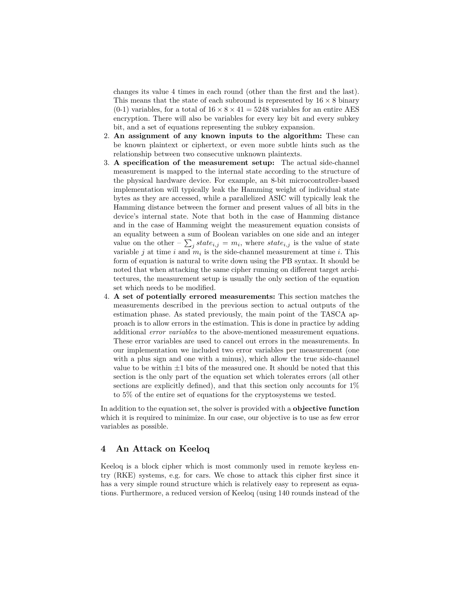changes its value 4 times in each round (other than the first and the last). This means that the state of each subround is represented by  $16 \times 8$  binary  $(0-1)$  variables, for a total of  $16 \times 8 \times 41 = 5248$  variables for an entire AES encryption. There will also be variables for every key bit and every subkey bit, and a set of equations representing the subkey expansion.

- 2. **An assignment of any known inputs to the algorithm:** These can be known plaintext or ciphertext, or even more subtle hints such as the relationship between two consecutive unknown plaintexts.
- 3. **A specification of the measurement setup:** The actual side-channel measurement is mapped to the internal state according to the structure of the physical hardware device. For example, an 8-bit microcontroller-based implementation will typically leak the Hamming weight of individual state bytes as they are accessed, while a parallelized ASIC will typically leak the Hamming distance between the former and present values of all bits in the device's internal state. Note that both in the case of Hamming distance and in the case of Hamming weight the measurement equation consists of an equality between a sum of Boolean variables on one side and an integer value on the other  $-\sum_{j} state_{i,j} = m_i$ , where  $state_{i,j}$  is the value of state variable  $j$  at time  $i$  and  $m_i$  is the side-channel measurement at time  $i$ . This form of equation is natural to write down using the PB syntax. It should be noted that when attacking the same cipher running on different target architectures, the measurement setup is usually the only section of the equation set which needs to be modified.
- 4. **A set of potentially errored measurements:** This section matches the measurements described in the previous section to actual outputs of the estimation phase. As stated previously, the main point of the TASCA approach is to allow errors in the estimation. This is done in practice by adding additional *error variables* to the above-mentioned measurement equations. These error variables are used to cancel out errors in the measurements. In our implementation we included two error variables per measurement (one with a plus sign and one with a minus), which allow the true side-channel value to be within  $\pm 1$  bits of the measured one. It should be noted that this section is the only part of the equation set which tolerates errors (all other sections are explicitly defined), and that this section only accounts for  $1\%$ to 5% of the entire set of equations for the cryptosystems we tested.

In addition to the equation set, the solver is provided with a **objective function** which it is required to minimize. In our case, our objective is to use as few error variables as possible.

# <span id="page-7-0"></span>**4 An Attack on Keeloq**

Keeloq is a block cipher which is most commonly used in remote keyless entry (RKE) systems, e.g. for cars. We chose to attack this cipher first since it has a very simple round structure which is relatively easy to represent as equations. Furthermore, a reduced version of Keeloq (using 140 rounds instead of the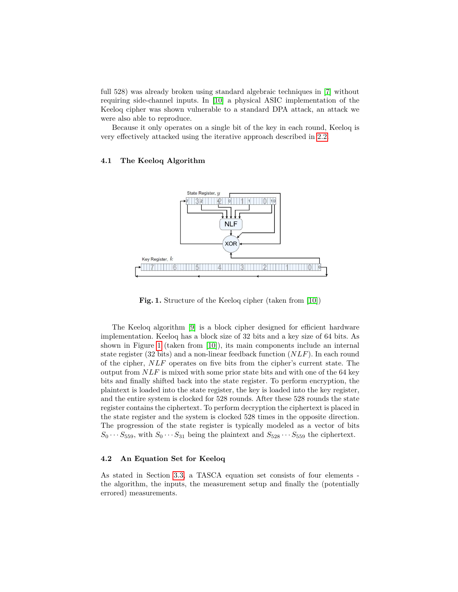full 528) was already broken using standard algebraic techniques in [\[7\]](#page-14-13) without requiring side-channel inputs. In [\[10\]](#page-14-14) a physical ASIC implementation of the Keeloq cipher was shown vulnerable to a standard DPA attack, an attack we were also able to reproduce.

Because it only operates on a single bit of the key in each round, Keeloq is very effectively attacked using the iterative approach described in [2.2.](#page-4-0)

#### **4.1 The Keeloq Algorithm**



<span id="page-8-0"></span>**Fig. 1.** Structure of the Keeloq cipher (taken from [\[10\]](#page-14-14))

The Keeloq algorithm [\[9\]](#page-14-15) is a block cipher designed for efficient hardware implementation. Keeloq has a block size of 32 bits and a key size of 64 bits. As shown in Figure [1](#page-8-0) (taken from [\[10\]](#page-14-14)), its main components include an internal state register (32 bits) and a non-linear feedback function (*NLF*). In each round of the cipher, *NLF* operates on five bits from the cipher's current state. The output from *NLF* is mixed with some prior state bits and with one of the 64 key bits and finally shifted back into the state register. To perform encryption, the plaintext is loaded into the state register, the key is loaded into the key register, and the entire system is clocked for 528 rounds. After these 528 rounds the state register contains the ciphertext. To perform decryption the ciphertext is placed in the state register and the system is clocked 528 times in the opposite direction. The progression of the state register is typically modeled as a vector of bits  $S_0 \cdots S_{559}$ , with  $S_0 \cdots S_{31}$  being the plaintext and  $S_{528} \cdots S_{559}$  the ciphertext.

#### **4.2 An Equation Set for Keeloq**

As stated in Section [3.3,](#page-6-0) a TASCA equation set consists of four elements the algorithm, the inputs, the measurement setup and finally the (potentially errored) measurements.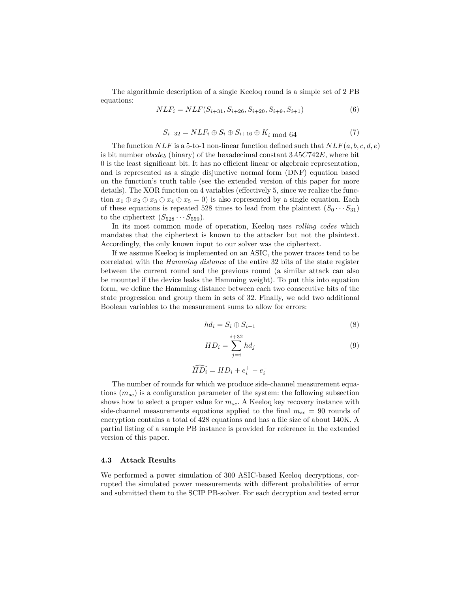The algorithmic description of a single Keeloq round is a simple set of 2 PB equations:

$$
NLF_{i} = NLF(S_{i+31}, S_{i+26}, S_{i+20}, S_{i+9}, S_{i+1})
$$
\n(6)

$$
S_{i+32} = NLF_i \oplus S_i \oplus S_{i+16} \oplus K_i \text{ mod } 64 \tag{7}
$$

The function *NLF* is a 5-to-1 non-linear function defined such that *NLF*(*a, b, c, d, e*) is bit number  $abcde_b$  (binary) of the hexadecimal constant  $3A5C742E$ , where bit 0 is the least significant bit. It has no efficient linear or algebraic representation, and is represented as a single disjunctive normal form (DNF) equation based on the function's truth table (see the extended version of this paper for more details). The XOR function on 4 variables (effectively 5, since we realize the function  $x_1 \oplus x_2 \oplus x_3 \oplus x_4 \oplus x_5 = 0$  is also represented by a single equation. Each of these equations is repeated 528 times to lead from the plaintext  $(S_0 \cdots S_{31})$ to the ciphertext  $(S_{528} \cdots S_{559})$ .

In its most common mode of operation, Keeloq uses *rolling codes* which mandates that the ciphertext is known to the attacker but not the plaintext. Accordingly, the only known input to our solver was the ciphertext.

If we assume Keeloq is implemented on an ASIC, the power traces tend to be correlated with the *Hamming distance* of the entire 32 bits of the state register between the current round and the previous round (a similar attack can also be mounted if the device leaks the Hamming weight). To put this into equation form, we define the Hamming distance between each two consecutive bits of the state progression and group them in sets of 32. Finally, we add two additional Boolean variables to the measurement sums to allow for errors:

$$
hd_i = S_i \oplus S_{i-1} \tag{8}
$$

$$
HD_i = \sum_{j=i}^{i+32} hd_j \tag{9}
$$

$$
\widehat{HD_i} = HD_i + e_i^+ - e_i^-
$$

The number of rounds for which we produce side-channel measurement equations (*msc*) is a configuration parameter of the system: the following subsection shows how to select a proper value for *msc*. A Keeloq key recovery instance with side-channel measurements equations applied to the final  $m_{sc} = 90$  rounds of encryption contains a total of 428 equations and has a file size of about 140K. A partial listing of a sample PB instance is provided for reference in the extended version of this paper.

#### **4.3 Attack Results**

We performed a power simulation of 300 ASIC-based Keeloq decryptions, corrupted the simulated power measurements with different probabilities of error and submitted them to the SCIP PB-solver. For each decryption and tested error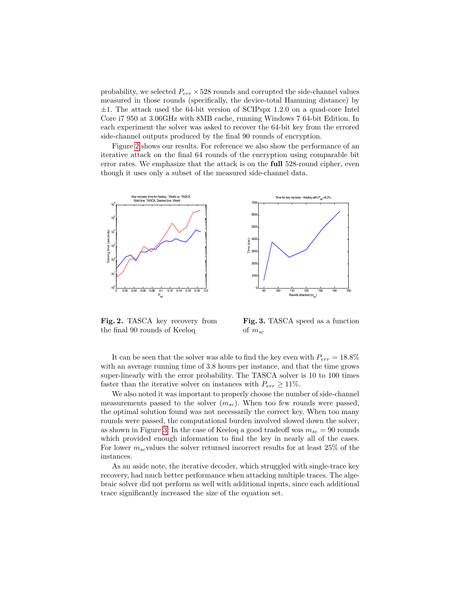probability, we selected  $P_{err} \times 528$  rounds and corrupted the side-channel values measured in those rounds (specifically, the device-total Hamming distance) by  $\pm 1$ . The attack used the 64-bit version of SCIPspx 1.2.0 on a quad-core Intel Core i7 950 at 3.06GHz with 8MB cache, running Windows 7 64-bit Edition. In each experiment the solver was asked to recover the 64-bit key from the errored side-channel outputs produced by the final 90 rounds of encryption.

Figure [2](#page-10-0) shows our results. For reference we also show the performance of an iterative attack on the final 64 rounds of the encryption using comparable bit error rates. We emphasize that the attack is on the **full** 528-round cipher, even though it uses only a subset of the measured side-channel data.





<span id="page-10-0"></span>**Fig. 2.** TASCA key recovery from the final 90 rounds of Keeloq

<span id="page-10-1"></span>**Fig. 3.** TASCA speed as a function of *msc*

It can be seen that the solver was able to find the key even with  $P_{err} = 18.8\%$ with an average running time of 3.8 hours per instance, and that the time grows super-linearly with the error probability. The TASCA solver is 10 to 100 times faster than the iterative solver on instances with  $P_{err} \geq 11\%$ .

We also noted it was important to properly choose the number of side-channel measurements passed to the solver (*msc*). When too few rounds were passed, the optimal solution found was not necessarily the correct key. When too many rounds were passed, the computational burden involved slowed down the solver, as shown in Figure [3.](#page-10-1) In the case of Keeloq a good tradeoff was  $m_{sc} = 90$  rounds which provided enough information to find the key in nearly all of the cases. For lower  $m_{sc}$  values the solver returned incorrect results for at least 25% of the instances.

As an aside note, the iterative decoder, which struggled with single-trace key recovery, had much better performance when attacking multiple traces. The algebraic solver did not perform as well with additional inputs, since each additional trace significantly increased the size of the equation set.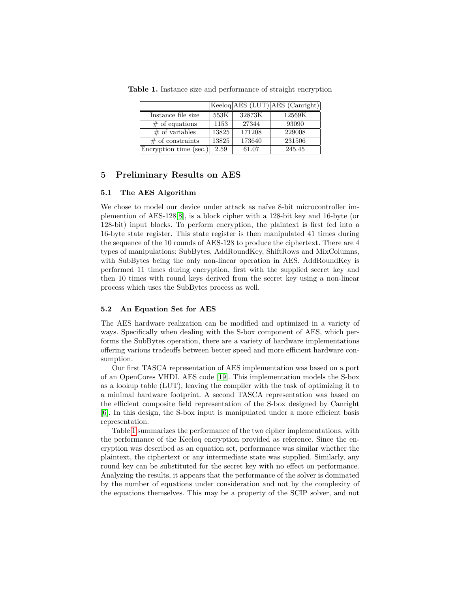<span id="page-11-1"></span>

|                        |       |        | Keeloq AES (LUT) AES (Canright) |
|------------------------|-------|--------|---------------------------------|
| Instance file size     | 553K  | 32873K | 12569K                          |
| $\#$ of equations      | 1153  | 27344  | 93090                           |
| $\#$ of variables      | 13825 | 171208 | 229008                          |
| $\#$ of constraints    | 13825 | 173640 | 231506                          |
| Encryption time (sec.) | 2.59  | 61.07  | 245.45                          |

**Table 1.** Instance size and performance of straight encryption

# <span id="page-11-0"></span>**5 Preliminary Results on AES**

### **5.1 The AES Algorithm**

We chose to model our device under attack as naïve 8-bit microcontroller implemention of AES-128[\[8\]](#page-14-16), is a block cipher with a 128-bit key and 16-byte (or 128-bit) input blocks. To perform encryption, the plaintext is first fed into a 16-byte state register. This state register is then manipulated 41 times during the sequence of the 10 rounds of AES-128 to produce the ciphertext. There are 4 types of manipulations: SubBytes, AddRoundKey, ShiftRows and MixColumns, with SubBytes being the only non-linear operation in AES. AddRoundKey is performed 11 times during encryption, first with the supplied secret key and then 10 times with round keys derived from the secret key using a non-linear process which uses the SubBytes process as well.

### **5.2 An Equation Set for AES**

The AES hardware realization can be modified and optimized in a variety of ways. Specifically when dealing with the S-box component of AES, which performs the SubBytes operation, there are a variety of hardware implementations offering various tradeoffs between better speed and more efficient hardware consumption.

Our first TASCA representation of AES implementation was based on a port of an OpenCores VHDL AES code [\[19\]](#page-14-17). This implementation models the S-box as a lookup table (LUT), leaving the compiler with the task of optimizing it to a minimal hardware footprint. A second TASCA representation was based on the efficient composite field representation of the S-box designed by Canright [\[6\]](#page-14-18). In this design, the S-box input is manipulated under a more efficient basis representation.

Table [1](#page-11-1) summarizes the performance of the two cipher implementations, with the performance of the Keeloq encryption provided as reference. Since the encryption was described as an equation set, performance was similar whether the plaintext, the ciphertext or any intermediate state was supplied. Similarly, any round key can be substituted for the secret key with no effect on performance. Analyzing the results, it appears that the performance of the solver is dominated by the number of equations under consideration and not by the complexity of the equations themselves. This may be a property of the SCIP solver, and not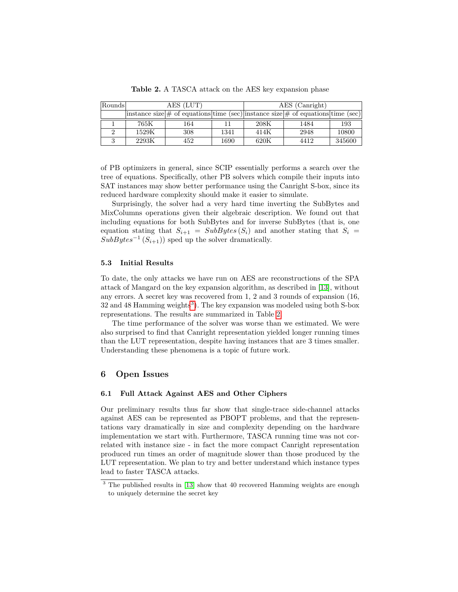| Rounds | AES (LUT) |                                                                                                           |      | AES (Canright) |      |        |  |
|--------|-----------|-----------------------------------------------------------------------------------------------------------|------|----------------|------|--------|--|
|        |           | $\vert$ instance size $\vert \#$ of equations time (sec) instance size $\vert \#$ of equations time (sec) |      |                |      |        |  |
|        | 765K      | 164                                                                                                       |      | 208K           | 1484 | 193    |  |
|        | 1529K     | 308                                                                                                       | 1341 | 414K           | 2948 | 10800  |  |
|        | 2293K     | 452                                                                                                       | 1690 | 620K           | 4412 | 345600 |  |

<span id="page-12-2"></span>**Table 2.** A TASCA attack on the AES key expansion phase

of PB optimizers in general, since SCIP essentially performs a search over the tree of equations. Specifically, other PB solvers which compile their inputs into SAT instances may show better performance using the Canright S-box, since its reduced hardware complexity should make it easier to simulate.

Surprisingly, the solver had a very hard time inverting the SubBytes and MixColumns operations given their algebraic description. We found out that including equations for both SubBytes and for inverse SubBytes (that is, one equation stating that  $S_{i+1} = SubBytes(S_i)$  and another stating that  $S_i =$  $SubBytes^{-1}(S_{i+1})$  sped up the solver dramatically.

#### **5.3 Initial Results**

To date, the only attacks we have run on AES are reconstructions of the SPA attack of Mangard on the key expansion algorithm, as described in [\[13\]](#page-14-19), without any errors. A secret key was recovered from 1, 2 and 3 rounds of expansion (16,  $32$  $32$  and  $48$  Hamming weights<sup>3</sup>). The key expansion was modeled using both S-box representations. The results are summarized in Table [2.](#page-12-2)

The time performance of the solver was worse than we estimated. We were also surprised to find that Canright representation yielded longer running times than the LUT representation, despite having instances that are 3 times smaller. Understanding these phenomena is a topic of future work.

### <span id="page-12-0"></span>**6 Open Issues**

#### **6.1 Full Attack Against AES and Other Ciphers**

Our preliminary results thus far show that single-trace side-channel attacks against AES can be represented as PBOPT problems, and that the representations vary dramatically in size and complexity depending on the hardware implementation we start with. Furthermore, TASCA running time was not correlated with instance size - in fact the more compact Canright representation produced run times an order of magnitude slower than those produced by the LUT representation. We plan to try and better understand which instance types lead to faster TASCA attacks.

<span id="page-12-1"></span><sup>&</sup>lt;sup>3</sup> The published results in [\[13\]](#page-14-19) show that 40 recovered Hamming weights are enough to uniquely determine the secret key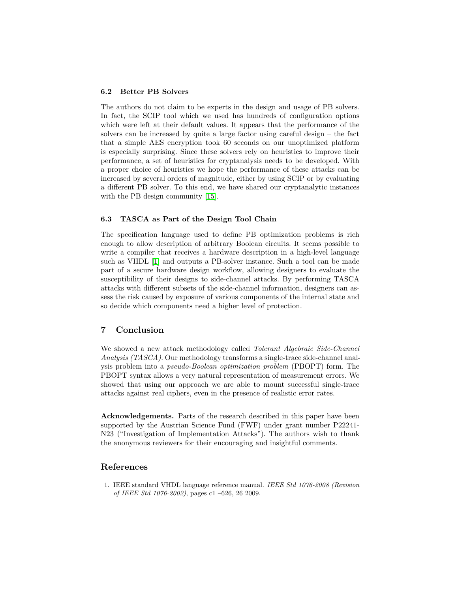#### **6.2 Better PB Solvers**

The authors do not claim to be experts in the design and usage of PB solvers. In fact, the SCIP tool which we used has hundreds of configuration options which were left at their default values. It appears that the performance of the solvers can be increased by quite a large factor using careful design – the fact that a simple AES encryption took 60 seconds on our unoptimized platform is especially surprising. Since these solvers rely on heuristics to improve their performance, a set of heuristics for cryptanalysis needs to be developed. With a proper choice of heuristics we hope the performance of these attacks can be increased by several orders of magnitude, either by using SCIP or by evaluating a different PB solver. To this end, we have shared our cryptanalytic instances with the PB design community [\[15\]](#page-14-7).

#### **6.3 TASCA as Part of the Design Tool Chain**

The specification language used to define PB optimization problems is rich enough to allow description of arbitrary Boolean circuits. It seems possible to write a compiler that receives a hardware description in a high-level language such as VHDL [\[1\]](#page-13-1) and outputs a PB-solver instance. Such a tool can be made part of a secure hardware design workflow, allowing designers to evaluate the susceptibility of their designs to side-channel attacks. By performing TASCA attacks with different subsets of the side-channel information, designers can assess the risk caused by exposure of various components of the internal state and so decide which components need a higher level of protection.

### <span id="page-13-0"></span>**7 Conclusion**

We showed a new attack methodology called *Tolerant Algebraic Side-Channel Analysis (TASCA)*. Our methodology transforms a single-trace side-channel analysis problem into a *pseudo-Boolean optimization problem* (PBOPT) form. The PBOPT syntax allows a very natural representation of measurement errors. We showed that using our approach we are able to mount successful single-trace attacks against real ciphers, even in the presence of realistic error rates.

**Acknowledgements.** Parts of the research described in this paper have been supported by the Austrian Science Fund (FWF) under grant number P22241- N23 ("Investigation of Implementation Attacks"). The authors wish to thank the anonymous reviewers for their encouraging and insightful comments.

# **References**

<span id="page-13-1"></span>1. IEEE standard VHDL language reference manual. *IEEE Std 1076-2008 (Revision of IEEE Std 1076-2002)*, pages c1 –626, 26 2009.